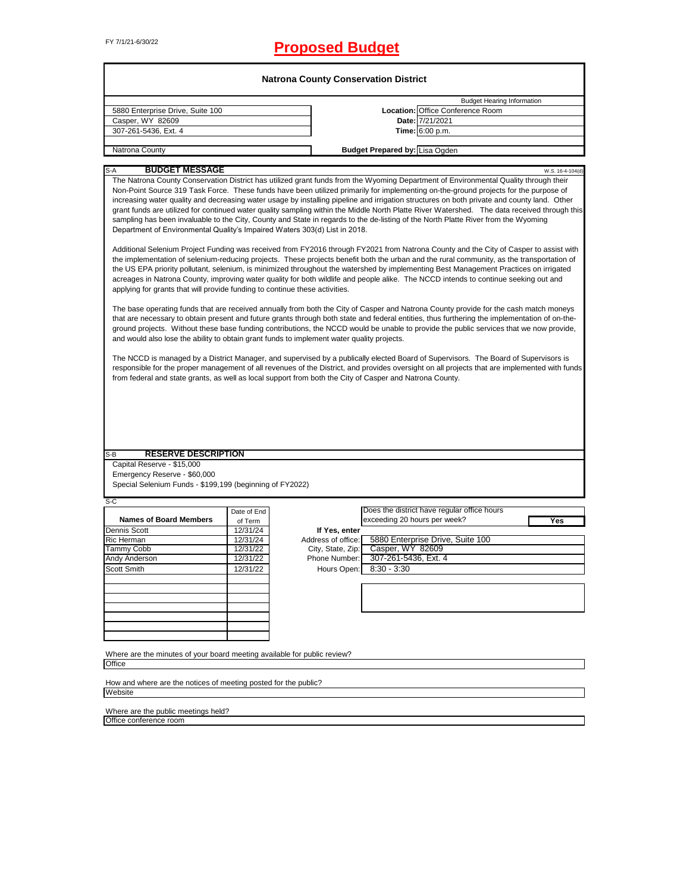# FY 7/1/21-6/30/22 **Proposed Budget**

|                                                                                                                                                                                                                                                                                                                                                                                                     |             | <b>Natrona County Conservation District</b> |                                       |                                                                                                                                                                                                                                                                                                                                                                                                                                                                                                                                                                                                                                                                                                                                                                                                                                                                                                                                                                                                                                                                                                                                                                                                                                                                                                                                                                                                                                                                                                                                                                                                                                                                                                                                                                                                                                                                                                                                                                                                                                           |
|-----------------------------------------------------------------------------------------------------------------------------------------------------------------------------------------------------------------------------------------------------------------------------------------------------------------------------------------------------------------------------------------------------|-------------|---------------------------------------------|---------------------------------------|-------------------------------------------------------------------------------------------------------------------------------------------------------------------------------------------------------------------------------------------------------------------------------------------------------------------------------------------------------------------------------------------------------------------------------------------------------------------------------------------------------------------------------------------------------------------------------------------------------------------------------------------------------------------------------------------------------------------------------------------------------------------------------------------------------------------------------------------------------------------------------------------------------------------------------------------------------------------------------------------------------------------------------------------------------------------------------------------------------------------------------------------------------------------------------------------------------------------------------------------------------------------------------------------------------------------------------------------------------------------------------------------------------------------------------------------------------------------------------------------------------------------------------------------------------------------------------------------------------------------------------------------------------------------------------------------------------------------------------------------------------------------------------------------------------------------------------------------------------------------------------------------------------------------------------------------------------------------------------------------------------------------------------------------|
|                                                                                                                                                                                                                                                                                                                                                                                                     |             |                                             |                                       | <b>Budget Hearing Information</b>                                                                                                                                                                                                                                                                                                                                                                                                                                                                                                                                                                                                                                                                                                                                                                                                                                                                                                                                                                                                                                                                                                                                                                                                                                                                                                                                                                                                                                                                                                                                                                                                                                                                                                                                                                                                                                                                                                                                                                                                         |
| 5880 Enterprise Drive, Suite 100                                                                                                                                                                                                                                                                                                                                                                    |             |                                             |                                       | Location: Office Conference Room                                                                                                                                                                                                                                                                                                                                                                                                                                                                                                                                                                                                                                                                                                                                                                                                                                                                                                                                                                                                                                                                                                                                                                                                                                                                                                                                                                                                                                                                                                                                                                                                                                                                                                                                                                                                                                                                                                                                                                                                          |
| Casper, WY 82609                                                                                                                                                                                                                                                                                                                                                                                    |             |                                             |                                       | Date: 7/21/2021                                                                                                                                                                                                                                                                                                                                                                                                                                                                                                                                                                                                                                                                                                                                                                                                                                                                                                                                                                                                                                                                                                                                                                                                                                                                                                                                                                                                                                                                                                                                                                                                                                                                                                                                                                                                                                                                                                                                                                                                                           |
| 307-261-5436, Ext. 4                                                                                                                                                                                                                                                                                                                                                                                |             |                                             |                                       | Time: 6:00 p.m.                                                                                                                                                                                                                                                                                                                                                                                                                                                                                                                                                                                                                                                                                                                                                                                                                                                                                                                                                                                                                                                                                                                                                                                                                                                                                                                                                                                                                                                                                                                                                                                                                                                                                                                                                                                                                                                                                                                                                                                                                           |
| <b>Natrona County</b>                                                                                                                                                                                                                                                                                                                                                                               |             |                                             | <b>Budget Prepared by: Lisa Ogden</b> |                                                                                                                                                                                                                                                                                                                                                                                                                                                                                                                                                                                                                                                                                                                                                                                                                                                                                                                                                                                                                                                                                                                                                                                                                                                                                                                                                                                                                                                                                                                                                                                                                                                                                                                                                                                                                                                                                                                                                                                                                                           |
|                                                                                                                                                                                                                                                                                                                                                                                                     |             |                                             |                                       |                                                                                                                                                                                                                                                                                                                                                                                                                                                                                                                                                                                                                                                                                                                                                                                                                                                                                                                                                                                                                                                                                                                                                                                                                                                                                                                                                                                                                                                                                                                                                                                                                                                                                                                                                                                                                                                                                                                                                                                                                                           |
| <b>BUDGET MESSAGE</b><br>S-A<br>Department of Environmental Quality's Impaired Waters 303(d) List in 2018.<br>applying for grants that will provide funding to continue these activities.<br>and would also lose the ability to obtain grant funds to implement water quality projects.<br>from federal and state grants, as well as local support from both the City of Casper and Natrona County. |             |                                             |                                       | W.S. 16-4-104(d)<br>The Natrona County Conservation District has utilized grant funds from the Wyoming Department of Environmental Quality through their<br>Non-Point Source 319 Task Force. These funds have been utilized primarily for implementing on-the-ground projects for the purpose of<br>increasing water quality and decreasing water usage by installing pipeline and irrigation structures on both private and county land. Other<br>grant funds are utilized for continued water quality sampling within the Middle North Platte River Watershed. The data received through this<br>sampling has been invaluable to the City, County and State in regards to the de-listing of the North Platte River from the Wyoming<br>Additional Selenium Project Funding was received from FY2016 through FY2021 from Natrona County and the City of Casper to assist with<br>the implementation of selenium-reducing projects. These projects benefit both the urban and the rural community, as the transportation of<br>the US EPA priority pollutant, selenium, is minimized throughout the watershed by implementing Best Management Practices on irrigated<br>acreages in Natrona County, improving water quality for both wildlife and people alike. The NCCD intends to continue seeking out and<br>The base operating funds that are received annually from both the City of Casper and Natrona County provide for the cash match moneys<br>that are necessary to obtain present and future grants through both state and federal entities, thus furthering the implementation of on-the-<br>ground projects. Without these base funding contributions, the NCCD would be unable to provide the public services that we now provide,<br>The NCCD is managed by a District Manager, and supervised by a publically elected Board of Supervisors. The Board of Supervisors is<br>responsible for the proper management of all revenues of the District, and provides oversight on all projects that are implemented with funds |
|                                                                                                                                                                                                                                                                                                                                                                                                     |             |                                             |                                       |                                                                                                                                                                                                                                                                                                                                                                                                                                                                                                                                                                                                                                                                                                                                                                                                                                                                                                                                                                                                                                                                                                                                                                                                                                                                                                                                                                                                                                                                                                                                                                                                                                                                                                                                                                                                                                                                                                                                                                                                                                           |
|                                                                                                                                                                                                                                                                                                                                                                                                     |             |                                             |                                       |                                                                                                                                                                                                                                                                                                                                                                                                                                                                                                                                                                                                                                                                                                                                                                                                                                                                                                                                                                                                                                                                                                                                                                                                                                                                                                                                                                                                                                                                                                                                                                                                                                                                                                                                                                                                                                                                                                                                                                                                                                           |
| <b>RESERVE DESCRIPTION</b><br>$S-B$                                                                                                                                                                                                                                                                                                                                                                 |             |                                             |                                       |                                                                                                                                                                                                                                                                                                                                                                                                                                                                                                                                                                                                                                                                                                                                                                                                                                                                                                                                                                                                                                                                                                                                                                                                                                                                                                                                                                                                                                                                                                                                                                                                                                                                                                                                                                                                                                                                                                                                                                                                                                           |
| Capital Reserve - \$15,000                                                                                                                                                                                                                                                                                                                                                                          |             |                                             |                                       |                                                                                                                                                                                                                                                                                                                                                                                                                                                                                                                                                                                                                                                                                                                                                                                                                                                                                                                                                                                                                                                                                                                                                                                                                                                                                                                                                                                                                                                                                                                                                                                                                                                                                                                                                                                                                                                                                                                                                                                                                                           |
| Emergency Reserve - \$60,000                                                                                                                                                                                                                                                                                                                                                                        |             |                                             |                                       |                                                                                                                                                                                                                                                                                                                                                                                                                                                                                                                                                                                                                                                                                                                                                                                                                                                                                                                                                                                                                                                                                                                                                                                                                                                                                                                                                                                                                                                                                                                                                                                                                                                                                                                                                                                                                                                                                                                                                                                                                                           |
| Special Selenium Funds - \$199,199 (beginning of FY2022)                                                                                                                                                                                                                                                                                                                                            |             |                                             |                                       |                                                                                                                                                                                                                                                                                                                                                                                                                                                                                                                                                                                                                                                                                                                                                                                                                                                                                                                                                                                                                                                                                                                                                                                                                                                                                                                                                                                                                                                                                                                                                                                                                                                                                                                                                                                                                                                                                                                                                                                                                                           |
|                                                                                                                                                                                                                                                                                                                                                                                                     |             |                                             |                                       |                                                                                                                                                                                                                                                                                                                                                                                                                                                                                                                                                                                                                                                                                                                                                                                                                                                                                                                                                                                                                                                                                                                                                                                                                                                                                                                                                                                                                                                                                                                                                                                                                                                                                                                                                                                                                                                                                                                                                                                                                                           |
| $S-C$                                                                                                                                                                                                                                                                                                                                                                                               | Date of End |                                             |                                       | Does the district have regular office hours                                                                                                                                                                                                                                                                                                                                                                                                                                                                                                                                                                                                                                                                                                                                                                                                                                                                                                                                                                                                                                                                                                                                                                                                                                                                                                                                                                                                                                                                                                                                                                                                                                                                                                                                                                                                                                                                                                                                                                                               |
| <b>Names of Board Members</b>                                                                                                                                                                                                                                                                                                                                                                       | of Term     |                                             | exceeding 20 hours per week?          | <b>Yes</b>                                                                                                                                                                                                                                                                                                                                                                                                                                                                                                                                                                                                                                                                                                                                                                                                                                                                                                                                                                                                                                                                                                                                                                                                                                                                                                                                                                                                                                                                                                                                                                                                                                                                                                                                                                                                                                                                                                                                                                                                                                |
|                                                                                                                                                                                                                                                                                                                                                                                                     | 12/31/24    | If Yes, enter                               |                                       |                                                                                                                                                                                                                                                                                                                                                                                                                                                                                                                                                                                                                                                                                                                                                                                                                                                                                                                                                                                                                                                                                                                                                                                                                                                                                                                                                                                                                                                                                                                                                                                                                                                                                                                                                                                                                                                                                                                                                                                                                                           |
|                                                                                                                                                                                                                                                                                                                                                                                                     | 12/31/24    | Address of office:                          |                                       | 5880 Enterprise Drive, Suite 100                                                                                                                                                                                                                                                                                                                                                                                                                                                                                                                                                                                                                                                                                                                                                                                                                                                                                                                                                                                                                                                                                                                                                                                                                                                                                                                                                                                                                                                                                                                                                                                                                                                                                                                                                                                                                                                                                                                                                                                                          |
|                                                                                                                                                                                                                                                                                                                                                                                                     | 12/31/22    | City, State, Zip:                           | Casper, WY 82609                      |                                                                                                                                                                                                                                                                                                                                                                                                                                                                                                                                                                                                                                                                                                                                                                                                                                                                                                                                                                                                                                                                                                                                                                                                                                                                                                                                                                                                                                                                                                                                                                                                                                                                                                                                                                                                                                                                                                                                                                                                                                           |
|                                                                                                                                                                                                                                                                                                                                                                                                     | 12/31/22    | Phone Number:                               | 307-261-5436, Ext. 4                  |                                                                                                                                                                                                                                                                                                                                                                                                                                                                                                                                                                                                                                                                                                                                                                                                                                                                                                                                                                                                                                                                                                                                                                                                                                                                                                                                                                                                                                                                                                                                                                                                                                                                                                                                                                                                                                                                                                                                                                                                                                           |
| Dennis Scott<br><b>Ric Herman</b><br>Tammy Cobb<br>Andy Anderson<br><b>Scott Smith</b>                                                                                                                                                                                                                                                                                                              | 12/31/22    | Hours Open:                                 | $8:30 - 3:30$                         |                                                                                                                                                                                                                                                                                                                                                                                                                                                                                                                                                                                                                                                                                                                                                                                                                                                                                                                                                                                                                                                                                                                                                                                                                                                                                                                                                                                                                                                                                                                                                                                                                                                                                                                                                                                                                                                                                                                                                                                                                                           |
|                                                                                                                                                                                                                                                                                                                                                                                                     |             |                                             |                                       |                                                                                                                                                                                                                                                                                                                                                                                                                                                                                                                                                                                                                                                                                                                                                                                                                                                                                                                                                                                                                                                                                                                                                                                                                                                                                                                                                                                                                                                                                                                                                                                                                                                                                                                                                                                                                                                                                                                                                                                                                                           |
|                                                                                                                                                                                                                                                                                                                                                                                                     |             |                                             |                                       |                                                                                                                                                                                                                                                                                                                                                                                                                                                                                                                                                                                                                                                                                                                                                                                                                                                                                                                                                                                                                                                                                                                                                                                                                                                                                                                                                                                                                                                                                                                                                                                                                                                                                                                                                                                                                                                                                                                                                                                                                                           |
|                                                                                                                                                                                                                                                                                                                                                                                                     |             |                                             |                                       |                                                                                                                                                                                                                                                                                                                                                                                                                                                                                                                                                                                                                                                                                                                                                                                                                                                                                                                                                                                                                                                                                                                                                                                                                                                                                                                                                                                                                                                                                                                                                                                                                                                                                                                                                                                                                                                                                                                                                                                                                                           |
|                                                                                                                                                                                                                                                                                                                                                                                                     |             |                                             |                                       |                                                                                                                                                                                                                                                                                                                                                                                                                                                                                                                                                                                                                                                                                                                                                                                                                                                                                                                                                                                                                                                                                                                                                                                                                                                                                                                                                                                                                                                                                                                                                                                                                                                                                                                                                                                                                                                                                                                                                                                                                                           |
|                                                                                                                                                                                                                                                                                                                                                                                                     |             |                                             |                                       |                                                                                                                                                                                                                                                                                                                                                                                                                                                                                                                                                                                                                                                                                                                                                                                                                                                                                                                                                                                                                                                                                                                                                                                                                                                                                                                                                                                                                                                                                                                                                                                                                                                                                                                                                                                                                                                                                                                                                                                                                                           |
|                                                                                                                                                                                                                                                                                                                                                                                                     |             |                                             |                                       |                                                                                                                                                                                                                                                                                                                                                                                                                                                                                                                                                                                                                                                                                                                                                                                                                                                                                                                                                                                                                                                                                                                                                                                                                                                                                                                                                                                                                                                                                                                                                                                                                                                                                                                                                                                                                                                                                                                                                                                                                                           |
| Where are the minutes of your board meeting available for public review?                                                                                                                                                                                                                                                                                                                            |             |                                             |                                       |                                                                                                                                                                                                                                                                                                                                                                                                                                                                                                                                                                                                                                                                                                                                                                                                                                                                                                                                                                                                                                                                                                                                                                                                                                                                                                                                                                                                                                                                                                                                                                                                                                                                                                                                                                                                                                                                                                                                                                                                                                           |
| Office                                                                                                                                                                                                                                                                                                                                                                                              |             |                                             |                                       |                                                                                                                                                                                                                                                                                                                                                                                                                                                                                                                                                                                                                                                                                                                                                                                                                                                                                                                                                                                                                                                                                                                                                                                                                                                                                                                                                                                                                                                                                                                                                                                                                                                                                                                                                                                                                                                                                                                                                                                                                                           |
|                                                                                                                                                                                                                                                                                                                                                                                                     |             |                                             |                                       |                                                                                                                                                                                                                                                                                                                                                                                                                                                                                                                                                                                                                                                                                                                                                                                                                                                                                                                                                                                                                                                                                                                                                                                                                                                                                                                                                                                                                                                                                                                                                                                                                                                                                                                                                                                                                                                                                                                                                                                                                                           |
| How and where are the notices of meeting posted for the public?<br>Website                                                                                                                                                                                                                                                                                                                          |             |                                             |                                       |                                                                                                                                                                                                                                                                                                                                                                                                                                                                                                                                                                                                                                                                                                                                                                                                                                                                                                                                                                                                                                                                                                                                                                                                                                                                                                                                                                                                                                                                                                                                                                                                                                                                                                                                                                                                                                                                                                                                                                                                                                           |

Office conference room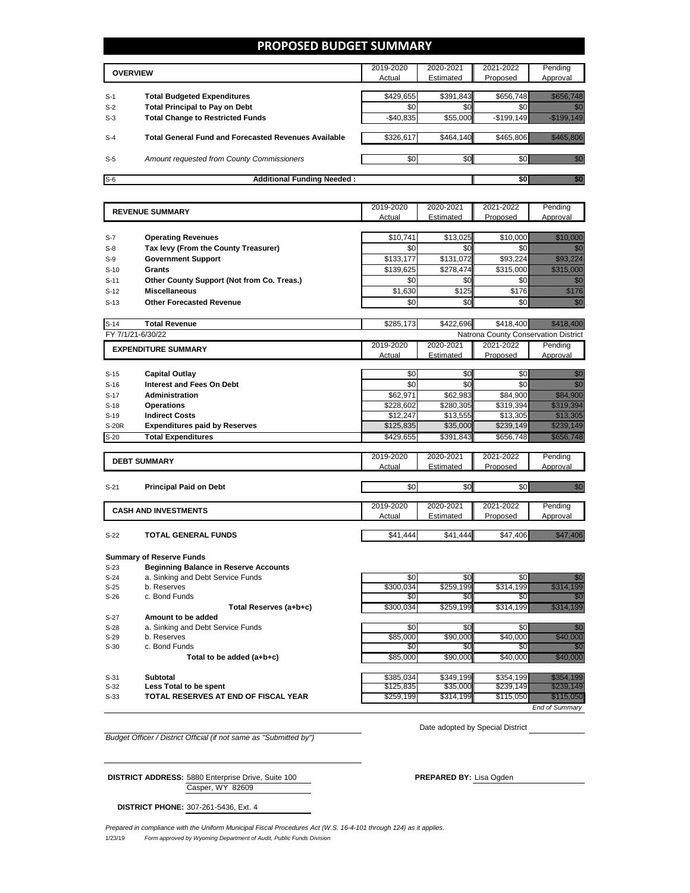## **PROPOSED BUDGET SUMMARY**

|       | <b>OVERVIEW</b>                                             | 2019-2020    | 2020-2021 | 2021-2022  | Pending  |
|-------|-------------------------------------------------------------|--------------|-----------|------------|----------|
|       |                                                             | Actual       | Estimated | Proposed   | Approval |
|       |                                                             |              |           |            |          |
| $S-1$ | <b>Total Budgeted Expenditures</b>                          | \$429,655    | \$391,843 | \$656,748  |          |
| $S-2$ | <b>Total Principal to Pay on Debt</b>                       | \$0          | \$0       |            |          |
| $S-3$ | <b>Total Change to Restricted Funds</b>                     | $-$ \$40,835 | \$55,000  | -\$199,149 |          |
|       |                                                             |              |           |            |          |
| $S-4$ | <b>Total General Fund and Forecasted Revenues Available</b> | \$326,617    | \$464,140 | \$465.806  |          |
|       |                                                             |              |           |            |          |
| $S-5$ | Amount requested from County Commissioners                  | \$0          | \$0       |            |          |
|       |                                                             |              |           |            |          |
| $S-6$ | <b>Additional Funding Needed:</b>                           |              |           |            |          |
|       |                                                             |              |           |            |          |

|              | <b>REVENUE SUMMARY</b>                     | 2019-2020 | 2020-2021             | 2021-2022                            | Pending                                                                                                                                                                                                                         |
|--------------|--------------------------------------------|-----------|-----------------------|--------------------------------------|---------------------------------------------------------------------------------------------------------------------------------------------------------------------------------------------------------------------------------|
|              |                                            | Actual    | Estimated             | Proposed                             | Approval                                                                                                                                                                                                                        |
|              |                                            |           |                       |                                      |                                                                                                                                                                                                                                 |
| $S-7$        | <b>Operating Revenues</b>                  | \$10,741  | \$13,025              | \$10,000                             | <u> Maria Sant</u>                                                                                                                                                                                                              |
| $S-8$        | Tax levy (From the County Treasurer)       | \$0       | \$0                   | \$0                                  | aan waxaa iyo Google                                                                                                                                                                                                            |
| $S-9$        | <b>Government Support</b>                  | \$133,177 | \$131,072             | \$93,224                             | <u>startin e</u>                                                                                                                                                                                                                |
| $S-10$       | <b>Grants</b>                              | \$139,625 | \$278,474             | \$315,000                            | <u>ti ka</u>                                                                                                                                                                                                                    |
| $S-11$       | Other County Support (Not from Co. Treas.) | \$0       | \$0                   | \$0                                  | an dhe                                                                                                                                                                                                                          |
| $S-12$       | <b>Miscellaneous</b>                       | \$1,630   | \$125                 | \$176                                | en en de forme de la forme de la forme de la forme de la forme de la forme de la forme de la forme de la form<br>En la forme de la forme de la forme de la forme de la forme de la forme de la forme de la forme de la forme d  |
| $S-13$       | <b>Other Forecasted Revenue</b>            | \$0       | \$0                   | \$0                                  | enti<br>Galia                                                                                                                                                                                                                   |
|              |                                            |           |                       |                                      |                                                                                                                                                                                                                                 |
| $S-14$       | <b>Total Revenue</b>                       | \$285,173 | \$422,696             | \$418,400                            |                                                                                                                                                                                                                                 |
|              | FY 7/1/21-6/30/22                          |           |                       | Natrona County Conservation District |                                                                                                                                                                                                                                 |
|              | <b>EXPENDITURE SUMMARY</b>                 | 2019-2020 | 2020-2021             | 2021-2022                            | Pending                                                                                                                                                                                                                         |
|              |                                            | Actual    | Estimated             | Proposed                             | Approval                                                                                                                                                                                                                        |
|              |                                            |           |                       |                                      |                                                                                                                                                                                                                                 |
| $S-15$       | <b>Capital Outlay</b>                      | \$0       | \$0                   | \$0                                  | en de la familie de la familie de la familie de la familie de la familie de la familie de la familie de la fam<br>Décembre de la familie de la familie de la familie de la familie de la familie de la familie de la familie de |
| $S-16$       | <b>Interest and Fees On Debt</b>           | \$0       | \$0                   | \$0                                  | enne<br>Maria                                                                                                                                                                                                                   |
| $S-17$       | <b>Administration</b>                      | \$62,971  | \$62,983              | \$84,900                             | <u>tion and</u>                                                                                                                                                                                                                 |
| $S-18$       | <b>Operations</b>                          | \$228,602 | $\overline{$}280,305$ | \$319,394                            | saa aan ah                                                                                                                                                                                                                      |
| $S-19$       | <b>Indirect Costs</b>                      | \$12,247  | \$13,555              | \$13,305                             |                                                                                                                                                                                                                                 |
| <b>S-20R</b> | <b>Expenditures paid by Reserves</b>       | \$125,835 | \$35,000              | \$239,149                            | <u>Sidoo ka s</u>                                                                                                                                                                                                               |
| $S-20$       | <b>Total Expenditures</b>                  | \$429,655 | \$391,843             | \$656,748                            | a a shekarar 200                                                                                                                                                                                                                |
|              |                                            | 2019-2020 | 2020-2021             | 2021-2022                            | Pending                                                                                                                                                                                                                         |
|              | <b>DEBT SUMMARY</b>                        | Actual    | Estimated             | Proposed                             | Approval                                                                                                                                                                                                                        |
|              |                                            |           |                       |                                      |                                                                                                                                                                                                                                 |
| $S-21$       | <b>Principal Paid on Debt</b>              | \$0       | \$0                   | \$0                                  | enia<br>Maria                                                                                                                                                                                                                   |
|              |                                            |           |                       |                                      |                                                                                                                                                                                                                                 |
|              | <b>CASH AND INVESTMENTS</b>                | 2019-2020 | 2020-2021             | 2021-2022                            | Pending                                                                                                                                                                                                                         |
|              |                                            | Actual    | Estimated             | Proposed                             | Approval                                                                                                                                                                                                                        |
|              | <b>TOTAL GENERAL FUNDS</b>                 |           |                       |                                      |                                                                                                                                                                                                                                 |
| $S-22$       |                                            | \$41,444  | \$41,444              | \$47,406                             | <u>esta politika politika politika politika politika politika politika politika politika politika politika polit</u>                                                                                                            |
|              | <b>Summary of Reserve Funds</b>            |           |                       |                                      |                                                                                                                                                                                                                                 |
|              |                                            |           |                       |                                      |                                                                                                                                                                                                                                 |

S-23 **Beginning Balance in Reserve Accounts**

S-24 a. Sinking and Debt Service Funds

- 
- S-26 c. Bond Funds **Total Reserves (a+b+c)** S-27 **Amount to be added**  S-28 a. Sinking and Debt Service Funds S-29 b. Reserves \$85,000 | \$90,000 | \$40,000 *|* S-30 c. Bond Funds

| $S-24$ | a. Sinking and Debt Service Funds    | \$0       | \$0 <sub>l</sub> |           |                       |
|--------|--------------------------------------|-----------|------------------|-----------|-----------------------|
| $S-25$ | b. Reserves                          | \$300,034 | \$259,199        |           |                       |
| $S-26$ | c. Bond Funds                        | \$01      | <b>\$01</b>      |           |                       |
|        | Total Reserves (a+b+c)               | \$300,034 | \$259,199        | \$314.199 |                       |
| $S-27$ | Amount to be added                   |           |                  |           |                       |
| $S-28$ | a. Sinking and Debt Service Funds    | \$0       | \$0I             |           |                       |
| S-29   | b. Reserves                          | \$85,000  | \$90,000         | \$40,000  |                       |
| $S-30$ | c. Bond Funds                        | \$01      | \$0              |           |                       |
|        | Total to be added $(a+b+c)$          | \$85,000  | \$90,000         | \$40,000  |                       |
| $S-31$ | <b>Subtotal</b>                      | \$385,034 | \$349,199        |           | \$354.199             |
| S-32   | Less Total to be spent               | \$125,835 | \$35,000         | \$239.149 |                       |
| $S-33$ | TOTAL RESERVES AT END OF FISCAL YEAR | \$259,199 | \$314,199        | \$115.050 |                       |
|        |                                      |           |                  |           | <b>End of Summary</b> |

Date adopted by Special District

**DISTRICT ADDRESS:** 5880 Enterprise Drive, Suite 100 **PREPARED BY:** Lisa Ogden

Casper, WY 82609

*Budget Officer / District Official (if not same as "Submitted by")*

**DISTRICT PHONE:** 307-261-5436, Ext. 4

1/23/19 *Form approved by Wyoming Department of Audit, Public Funds Division Prepared in compliance with the Uniform Municipal Fiscal Procedures Act (W.S. 16-4-101 through 124) as it applies.*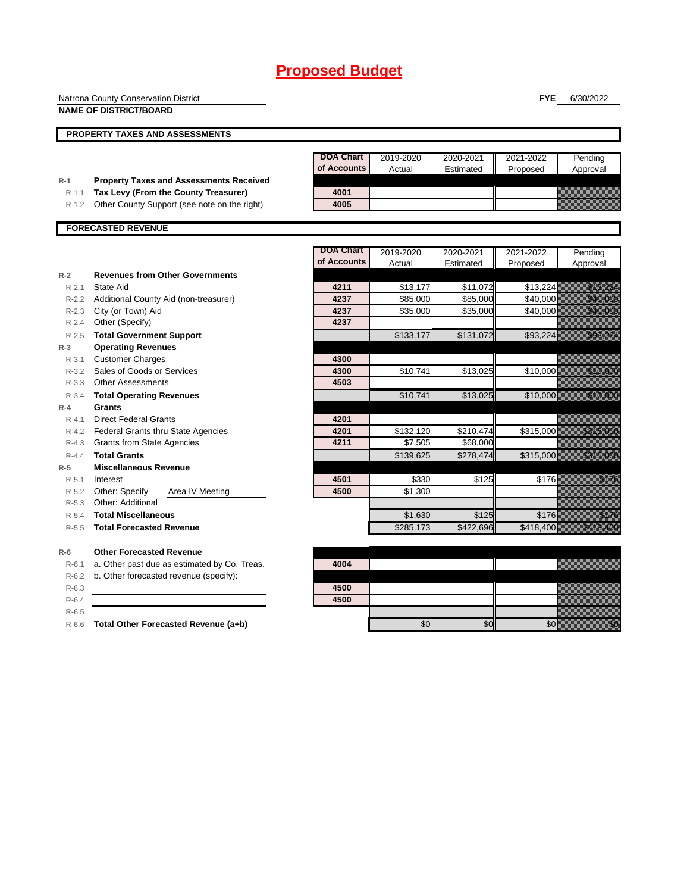|                    | Natrona County Conservation District                         |                                 |                       |           | <b>FYE</b>           | 6/30/2022                                                                                                            |
|--------------------|--------------------------------------------------------------|---------------------------------|-----------------------|-----------|----------------------|----------------------------------------------------------------------------------------------------------------------|
|                    | <b>NAME OF DISTRICT/BOARD</b>                                |                                 |                       |           |                      |                                                                                                                      |
|                    |                                                              |                                 |                       |           |                      |                                                                                                                      |
|                    | PROPERTY TAXES AND ASSESSMENTS                               |                                 |                       |           |                      |                                                                                                                      |
|                    |                                                              |                                 |                       |           |                      |                                                                                                                      |
|                    |                                                              | <b>DOA Chart</b><br>of Accounts | 2019-2020             | 2020-2021 | 2021-2022            | Pending                                                                                                              |
| $R-1$              | <b>Property Taxes and Assessments Received</b>               |                                 | Actual                | Estimated | Proposed             | Approval                                                                                                             |
| $R-1.1$            | Tax Levy (From the County Treasurer)                         | 4001                            |                       |           |                      |                                                                                                                      |
| $R-1.2$            | Other County Support (see note on the right)                 | 4005                            |                       |           |                      |                                                                                                                      |
|                    |                                                              |                                 |                       |           |                      |                                                                                                                      |
|                    | <b>FORECASTED REVENUE</b>                                    |                                 |                       |           |                      |                                                                                                                      |
|                    |                                                              |                                 |                       |           |                      |                                                                                                                      |
|                    |                                                              | <b>DOA Chart</b><br>of Accounts | 2019-2020             | 2020-2021 | 2021-2022            | Pending                                                                                                              |
|                    |                                                              |                                 | Actual                | Estimated | Proposed             | Approval                                                                                                             |
| $R-2$              | <b>Revenues from Other Governments</b><br><b>State Aid</b>   | 4211                            |                       |           |                      | <u> Karl Sara</u>                                                                                                    |
| $R - 2.1$          |                                                              | 4237                            | \$13,177              | \$11,072  | \$13,224<br>\$40,000 | <u>ta kasaalaa kasaalaa kasaalaa kasaalaa kasaalaa kasaalaa kasaalaa kasaalaa kasaalaa kasaalaa kasaalaa kasaala</u> |
| $R-2.2$<br>$R-2.3$ | Additional County Aid (non-treasurer)                        | 4237                            | \$85,000<br>\$35,000  | \$85,000  | \$40,000             | <u>ta ka</u>                                                                                                         |
| $R-2.4$            | City (or Town) Aid<br>Other (Specify)                        | 4237                            |                       | \$35,000  |                      |                                                                                                                      |
|                    |                                                              |                                 |                       |           |                      |                                                                                                                      |
| $R - 2.5$<br>$R-3$ | <b>Total Government Support</b><br><b>Operating Revenues</b> |                                 | \$133,177             | \$131,072 | \$93,224             | <u> Karl Sara</u>                                                                                                    |
| $R - 3.1$          | <b>Customer Charges</b>                                      | 4300                            |                       |           |                      |                                                                                                                      |
| $R - 3.2$          | Sales of Goods or Services                                   | 4300                            | \$10,741              | \$13,025  | \$10,000             | <u> Maria Barati (</u>                                                                                               |
| $R - 3.3$          | <b>Other Assessments</b>                                     | 4503                            |                       |           |                      |                                                                                                                      |
| $R - 3.4$          | <b>Total Operating Revenues</b>                              |                                 | \$10,741              | \$13,025  | \$10,000             | <u> Elizabeth Carlottan (</u>                                                                                        |
| $R - 4$            | Grants                                                       |                                 |                       |           |                      |                                                                                                                      |
| $R - 4.1$          | <b>Direct Federal Grants</b>                                 | 4201                            |                       |           |                      |                                                                                                                      |
| $R-4.2$            | Federal Grants thru State Agencies                           | 4201                            | \$132,120             | \$210,474 | \$315,000            | <u> Hermann Star (1989)</u>                                                                                          |
| $R-4.3$            | <b>Grants from State Agencies</b>                            | 4211                            | \$7,505               | \$68,000  |                      |                                                                                                                      |
| $R - 4.4$          | <b>Total Grants</b>                                          |                                 | \$139,625             | \$278,474 | \$315,000            | a a shekarar 200                                                                                                     |
| $R-5$              | <b>Miscellaneous Revenue</b>                                 |                                 |                       |           |                      |                                                                                                                      |
| $R-5.1$            | Interest                                                     | 4501                            | \$330                 | \$125     | \$176                | <u>tik ku</u>                                                                                                        |
| $R-5.2$            | Other: Specify<br>Area IV Meeting                            | 4500                            | \$1,300               |           |                      |                                                                                                                      |
| $R-5.3$            | Other: Additional                                            |                                 |                       |           |                      |                                                                                                                      |
|                    | R-5.4 Total Miscellaneous                                    |                                 | \$1,630               | \$125     |                      | \$176<br>77. pr. n. št                                                                                               |
| $R - 5.5$          | <b>Total Forecasted Revenue</b>                              |                                 | $\overline{$}285,173$ | \$422,696 | \$418,400            | <u>ta kalendari k</u>                                                                                                |
| $R-6$              | <b>Other Forecasted Revenue</b>                              |                                 |                       |           |                      |                                                                                                                      |
| $R-6.1$            | a. Other past due as estimated by Co. Treas.                 | 4004                            |                       |           |                      |                                                                                                                      |
| $R-6.2$            | b. Other forecasted revenue (specify):                       |                                 |                       |           |                      |                                                                                                                      |
| $R-6.3$            |                                                              | 4500                            |                       |           |                      |                                                                                                                      |
| $R-6.4$            |                                                              | 4500                            |                       |           |                      |                                                                                                                      |

R-6.5

R-6.6 **Total Other Forecasted Revenue (a+b)** \$0 \$0 \$0 \$0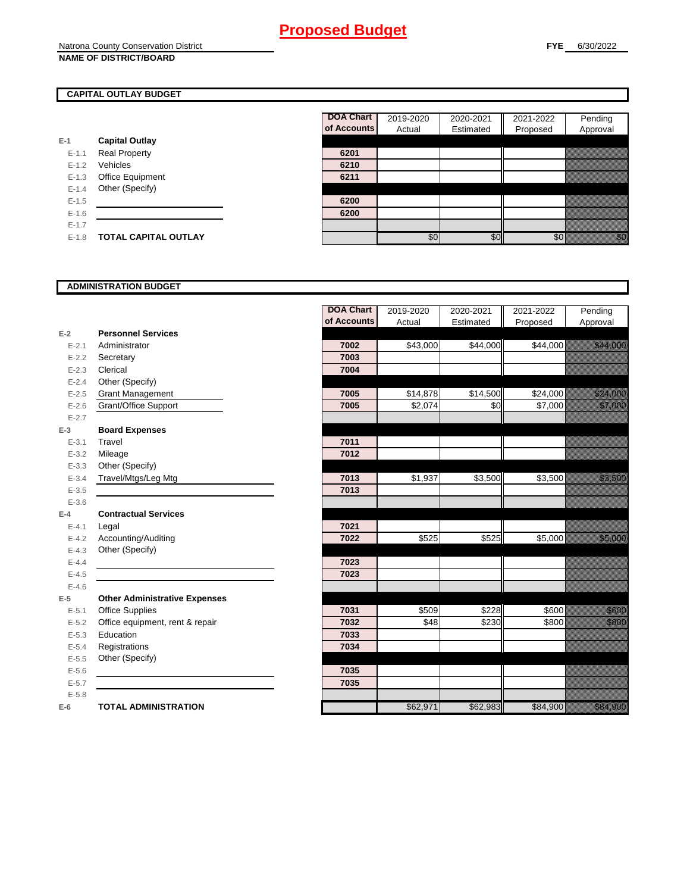#### **CAPITAL OUTLAY BUDGET**

| 6201<br>6210 |
|--------------|
|              |
|              |
|              |
| 6211         |
|              |
| 6200         |
| 6200         |
|              |
|              |
|              |

| <b>DOA Chart</b> | 2019-2020 | 2020-2021 | 2021-2022 | Pending  |
|------------------|-----------|-----------|-----------|----------|
| of Accounts      | Actual    | Estimated | Proposed  | Approval |
|                  |           |           |           |          |
| 6201             |           |           |           |          |
| 6210             |           |           |           |          |
| 6211             |           |           |           |          |
|                  |           |           |           |          |
| 6200             |           |           |           |          |
| 6200             |           |           |           |          |
|                  |           |           |           |          |
|                  |           | \$(       |           |          |

#### **ADMINISTRATION BUDGET**

|           |                                      | <b>DOA Chart</b> | 2019-2020 | 2020-2021 | 2021-2022 | Pending                                                                                                                                                                                                                          |
|-----------|--------------------------------------|------------------|-----------|-----------|-----------|----------------------------------------------------------------------------------------------------------------------------------------------------------------------------------------------------------------------------------|
|           |                                      | of Accounts      | Actual    | Estimated | Proposed  | Approval                                                                                                                                                                                                                         |
| $E-2$     | <b>Personnel Services</b>            |                  |           |           |           |                                                                                                                                                                                                                                  |
| $E - 2.1$ | Administrator                        | 7002             | \$43,000  | \$44,000  | \$44,000  | <u> Herministro de la pro</u>                                                                                                                                                                                                    |
| $E - 2.2$ | Secretary                            | 7003             |           |           |           |                                                                                                                                                                                                                                  |
| $E - 2.3$ | Clerical                             | 7004             |           |           |           |                                                                                                                                                                                                                                  |
| $E - 2.4$ | Other (Specify)                      |                  |           |           |           |                                                                                                                                                                                                                                  |
| $E-2.5$   | <b>Grant Management</b>              | 7005             | \$14,878  | \$14,500  | \$24,000  | a a a an t-òrdan an t-òrdan an t-òrdan an t-òrdan an t-òrdan an Dùbhail an Dùbhail an Dùbhail an Dùbhail an Dù                                                                                                                   |
| $E - 2.6$ | Grant/Office Support                 | 7005             | \$2,074   | \$0       | \$7,000   |                                                                                                                                                                                                                                  |
| $E - 2.7$ |                                      |                  |           |           |           |                                                                                                                                                                                                                                  |
| $E-3$     | <b>Board Expenses</b>                |                  |           |           |           |                                                                                                                                                                                                                                  |
| $E - 3.1$ | Travel                               | 7011             |           |           |           |                                                                                                                                                                                                                                  |
| $E-3.2$   | Mileage                              | 7012             |           |           |           |                                                                                                                                                                                                                                  |
| $E - 3.3$ | Other (Specify)                      |                  |           |           |           |                                                                                                                                                                                                                                  |
| $E-3.4$   | Travel/Mtgs/Leg Mtg                  | 7013             | \$1,937   | \$3,500   | \$3,500   | a katika katika katika katika katika katika katika katika katika katika katika katika katika katika katika kat<br>Katika katika katika katika katika katika katika katika katika katika katika katika katika katika katika katik |
| $E - 3.5$ |                                      | 7013             |           |           |           |                                                                                                                                                                                                                                  |
| $E - 3.6$ |                                      |                  |           |           |           |                                                                                                                                                                                                                                  |
| $E-4$     | <b>Contractual Services</b>          |                  |           |           |           |                                                                                                                                                                                                                                  |
| $E - 4.1$ | Legal                                | 7021             |           |           |           |                                                                                                                                                                                                                                  |
| $E - 4.2$ | Accounting/Auditing                  | 7022             | \$525     | \$525     | \$5,000   | <u>tara da</u>                                                                                                                                                                                                                   |
| $E - 4.3$ | Other (Specify)                      |                  |           |           |           |                                                                                                                                                                                                                                  |
| $E - 4.4$ |                                      | 7023             |           |           |           |                                                                                                                                                                                                                                  |
| $E-4.5$   |                                      | 7023             |           |           |           |                                                                                                                                                                                                                                  |
| $E-4.6$   |                                      |                  |           |           |           |                                                                                                                                                                                                                                  |
| $E-5$     | <b>Other Administrative Expenses</b> |                  |           |           |           |                                                                                                                                                                                                                                  |
| $E - 5.1$ | <b>Office Supplies</b>               | 7031             | \$509     | \$228     | \$600     | a a an t-òrdan<br>Bàrdain                                                                                                                                                                                                        |
| $E - 5.2$ | Office equipment, rent & repair      | 7032             | \$48      | \$230     | \$800     | <b>Santana</b>                                                                                                                                                                                                                   |
| $E - 5.3$ | Education                            | 7033             |           |           |           |                                                                                                                                                                                                                                  |
| $E - 5.4$ | Registrations                        | 7034             |           |           |           |                                                                                                                                                                                                                                  |
| $E-5.5$   | Other (Specify)                      |                  |           |           |           |                                                                                                                                                                                                                                  |
| $E-5.6$   |                                      | 7035             |           |           |           |                                                                                                                                                                                                                                  |
| $E - 5.7$ |                                      | 7035             |           |           |           |                                                                                                                                                                                                                                  |
| $E - 5.8$ |                                      |                  |           |           |           |                                                                                                                                                                                                                                  |
| $E-6$     | <b>TOTAL ADMINISTRATION</b>          |                  | \$62,971  | \$62,983  | \$84,900  | a a an ainm                                                                                                                                                                                                                      |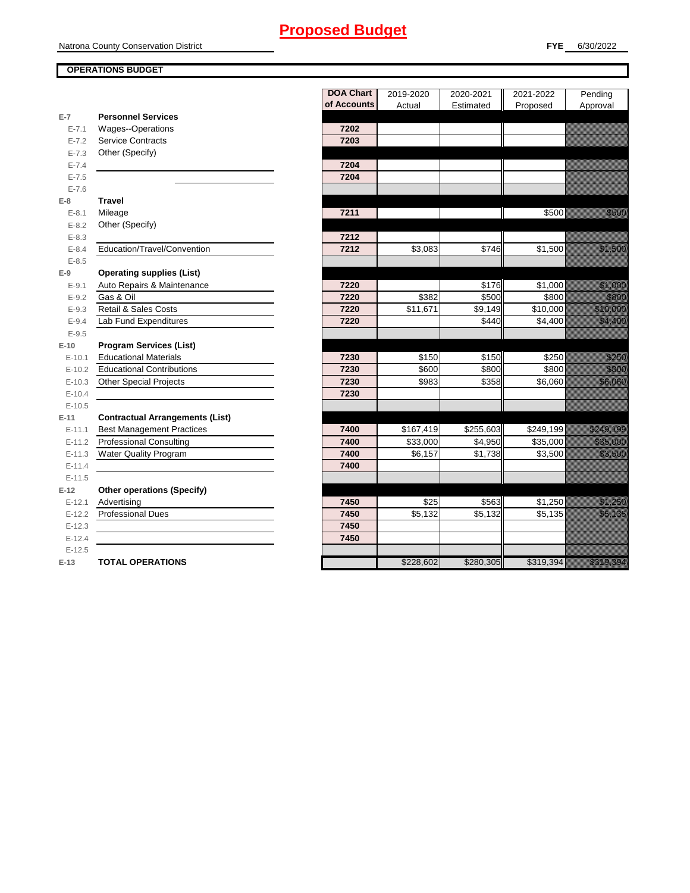#### **OPERATIONS BUDGET**

|           |                                        | <b>DOA Chart</b> | 2019-2020 | 2020-2021 | 2021-2022 | Pending                                                                                                                                                                                                                                 |
|-----------|----------------------------------------|------------------|-----------|-----------|-----------|-----------------------------------------------------------------------------------------------------------------------------------------------------------------------------------------------------------------------------------------|
| $E-7$     | <b>Personnel Services</b>              | of Accounts      | Actual    | Estimated | Proposed  | Approval                                                                                                                                                                                                                                |
| $E - 7.1$ | Wages--Operations                      | 7202             |           |           |           |                                                                                                                                                                                                                                         |
| $E - 7.2$ | <b>Service Contracts</b>               | 7203             |           |           |           |                                                                                                                                                                                                                                         |
| $E - 7.3$ | Other (Specify)                        |                  |           |           |           |                                                                                                                                                                                                                                         |
| $E - 7.4$ |                                        | 7204             |           |           |           |                                                                                                                                                                                                                                         |
| $E - 7.5$ |                                        | 7204             |           |           |           |                                                                                                                                                                                                                                         |
| $E - 7.6$ |                                        |                  |           |           |           |                                                                                                                                                                                                                                         |
| $E-8$     | <b>Travel</b>                          |                  |           |           |           |                                                                                                                                                                                                                                         |
| $E-8.1$   | Mileage                                | 7211             |           |           | \$500     | <u>tik komunistik komunistik komunis</u> tik komunistik komunistik komunistik komunistik komunistik komunistik komunis<br>Komunistik komunistik komunistik komunistik komunistik komunistik komunistik komunistik komunistik komunistik |
| $E - 8.2$ | Other (Specify)                        |                  |           |           |           |                                                                                                                                                                                                                                         |
| $E - 8.3$ |                                        | 7212             |           |           |           |                                                                                                                                                                                                                                         |
| $E - 8.4$ | Education/Travel/Convention            | 7212             | \$3,083   | \$746     | \$1,500   | <u>tik ku</u>                                                                                                                                                                                                                           |
| $E - 8.5$ |                                        |                  |           |           |           |                                                                                                                                                                                                                                         |
| $E-9$     | <b>Operating supplies (List)</b>       |                  |           |           |           |                                                                                                                                                                                                                                         |
| $E-9.1$   | Auto Repairs & Maintenance             | 7220             |           | \$176     | \$1,000   | <u>ta kulturalari koʻpga</u>                                                                                                                                                                                                            |
| $E - 9.2$ | Gas & Oil                              | 7220             | \$382     | \$500     | \$800     | <b>Maritim</b>                                                                                                                                                                                                                          |
| $E-9.3$   | Retail & Sales Costs                   | 7220             | \$11,671  | \$9,149   | \$10,000  | <u>elikuwa kutoka m</u>                                                                                                                                                                                                                 |
| $E-9.4$   | Lab Fund Expenditures                  | 7220             |           | \$440     | \$4,400   | <u>est av den sta</u>                                                                                                                                                                                                                   |
| $E-9.5$   |                                        |                  |           |           |           |                                                                                                                                                                                                                                         |
| $E-10$    | <b>Program Services (List)</b>         |                  |           |           |           |                                                                                                                                                                                                                                         |
| $E-10.1$  | <b>Educational Materials</b>           | 7230             | \$150     | \$150     | \$250     | <u>i karatikana ya kusingan ya kusingan ya kusingan ya kusingan ya kusingan ya kusingan ya kusingan ya kusingan y</u>                                                                                                                   |
| $E-10.2$  | <b>Educational Contributions</b>       | 7230             | \$600     | \$800     | \$800     | <u>tions and the second</u>                                                                                                                                                                                                             |
| $E-10.3$  | <b>Other Special Projects</b>          | 7230             | \$983     | \$358     | \$6,060   | <u>tion and the community of the community of the community of the community of the community of the community of</u>                                                                                                                   |
| $E-10.4$  |                                        | 7230             |           |           |           |                                                                                                                                                                                                                                         |
| $E-10.5$  |                                        |                  |           |           |           |                                                                                                                                                                                                                                         |
| $E-11$    | <b>Contractual Arrangements (List)</b> |                  |           |           |           |                                                                                                                                                                                                                                         |
| $E-11.1$  | <b>Best Management Practices</b>       | 7400             | \$167,419 | \$255,603 | \$249,199 | a a a an t-ainm                                                                                                                                                                                                                         |
| $E-11.2$  | <b>Professional Consulting</b>         | 7400             | \$33,000  | \$4,950   | \$35,000  | <u>tara da</u>                                                                                                                                                                                                                          |
| $E-11.3$  | <b>Water Quality Program</b>           | 7400             | \$6,157   | \$1,738   | \$3,500   | <u>e de la construcción de la construcción de la construcción de la construcción de la construcción de la cons</u>                                                                                                                      |
| $E-11.4$  |                                        | 7400             |           |           |           |                                                                                                                                                                                                                                         |
| $E-11.5$  |                                        |                  |           |           |           |                                                                                                                                                                                                                                         |
| $E-12$    | <b>Other operations (Specify)</b>      |                  |           |           |           |                                                                                                                                                                                                                                         |
| $E-12.1$  | Advertising                            | 7450             | \$25      | \$563     | \$1,250   | <u>tik ku</u>                                                                                                                                                                                                                           |
| $E-12.2$  | <b>Professional Dues</b>               | 7450             | \$5,132   | \$5,132   | \$5,135   | <u>est til starte o</u>                                                                                                                                                                                                                 |
| $E-12.3$  |                                        | 7450             |           |           |           |                                                                                                                                                                                                                                         |
| $E-12.4$  |                                        | 7450             |           |           |           |                                                                                                                                                                                                                                         |
| $E-12.5$  |                                        |                  |           |           |           |                                                                                                                                                                                                                                         |
| $E-13$    | <b>TOTAL OPERATIONS</b>                |                  | \$228,602 | \$280,305 | \$319,394 | <u> Harristo Santa</u>                                                                                                                                                                                                                  |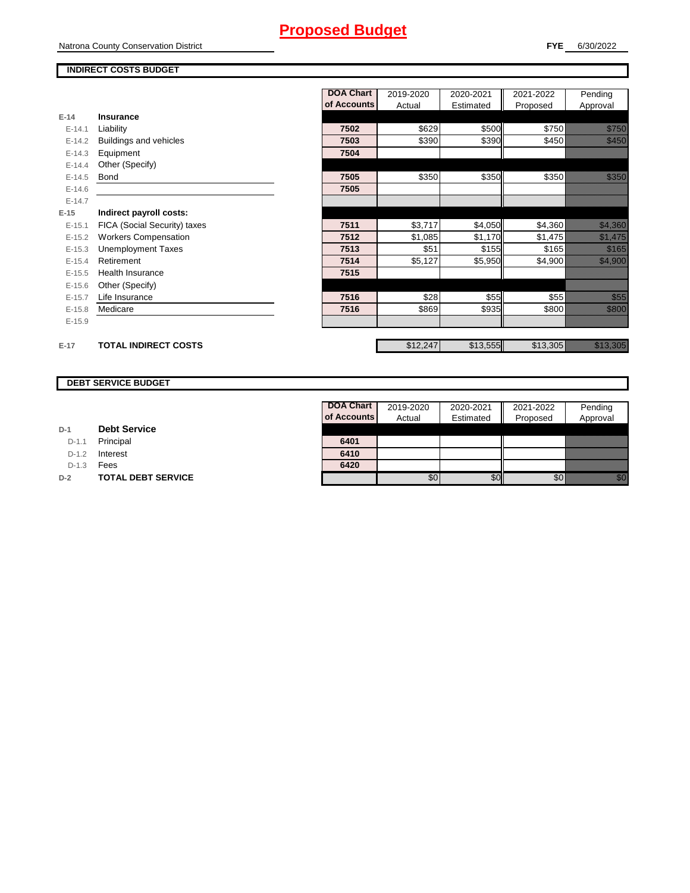#### **INDIRECT COSTS BUDGET**

|          |                              | <b>DOA Chart</b> | 2019-2020 | 2020-2021 | 2021-2022 | Pending                                                                                                             |
|----------|------------------------------|------------------|-----------|-----------|-----------|---------------------------------------------------------------------------------------------------------------------|
|          |                              | of Accounts      | Actual    | Estimated | Proposed  | Approval                                                                                                            |
| $E-14$   | <b>Insurance</b>             |                  |           |           |           |                                                                                                                     |
| $E-14.1$ | Liability                    | 7502             | \$629     | \$500     | \$750     |                                                                                                                     |
| $E-14.2$ | Buildings and vehicles       | 7503             | \$390     | \$390     | \$450     | <u> Mille S</u>                                                                                                     |
| $E-14.3$ | Equipment                    | 7504             |           |           |           |                                                                                                                     |
| $E-14.4$ | Other (Specify)              |                  |           |           |           |                                                                                                                     |
| $E-14.5$ | <b>Bond</b>                  | 7505             | \$350     | \$350     | \$350     |                                                                                                                     |
| $E-14.6$ |                              | 7505             |           |           |           |                                                                                                                     |
| $E-14.7$ |                              |                  |           |           |           |                                                                                                                     |
| $E-15$   | Indirect payroll costs:      |                  |           |           |           |                                                                                                                     |
| $E-15.1$ | FICA (Social Security) taxes | 7511             | \$3,717   | \$4,050   | \$4,360   | <u>e dhe që përfshën për përfshën për përfshën për përfshën për përfshën për përfshën për përfshën për përfshën</u> |
| $E-15.2$ | <b>Workers Compensation</b>  | 7512             | \$1,085   | \$1,170   | \$1,475   | <u>eli ko</u>                                                                                                       |
| $E-15.3$ | <b>Unemployment Taxes</b>    | 7513             | \$51      | \$155     | \$165     | <u>eli yerleşi</u>                                                                                                  |
| $E-15.4$ | Retirement                   | 7514             | \$5,127   | \$5,950   | \$4,900   | <u>i ka</u>                                                                                                         |
| $E-15.5$ | <b>Health Insurance</b>      | 7515             |           |           |           |                                                                                                                     |
| $E-15.6$ | Other (Specify)              |                  |           |           |           |                                                                                                                     |
| $E-15.7$ | Life Insurance               | 7516             | \$28      | \$55      | \$55      |                                                                                                                     |
| $E-15.8$ | Medicare                     | 7516             | \$869     | \$935     | \$800     | eli kolo                                                                                                            |
| $E-15.9$ |                              |                  |           |           |           |                                                                                                                     |
|          |                              |                  |           |           |           |                                                                                                                     |
| $E-17$   | <b>TOTAL INDIRECT COSTS</b>  |                  | \$12,247  | \$13,555  | \$13,305  |                                                                                                                     |

#### **DEBT SERVICE BUDGET**

**D-1**

Г

|         |                           | <b>DOA Chart</b> | 2019-2020 | 2020-2021     | 2021-2022 | Pending  |
|---------|---------------------------|------------------|-----------|---------------|-----------|----------|
|         |                           | of Accounts      | Actual    | Estimated     | Proposed  | Approval |
| $D-1$   | <b>Debt Service</b>       |                  |           |               |           |          |
| $D-1.1$ | Principal                 | 6401             |           |               |           |          |
| $D-1.2$ | Interest                  | 6410             |           |               |           |          |
| $D-1.3$ | Fees                      | 6420             |           |               |           |          |
| $D-2$   | <b>TOTAL DEBT SERVICE</b> |                  | \$0       | $\frac{1}{2}$ |           |          |